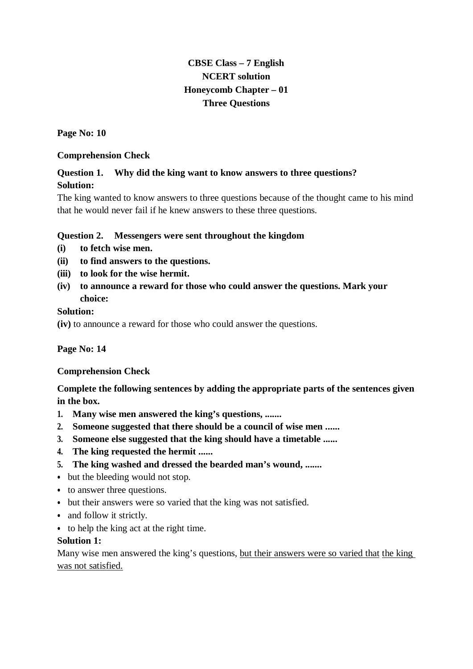# **CBSE Class – 7 English NCERT solution Honeycomb Chapter – 01 Three Questions**

**Page No: 10**

### **Comprehension Check**

# **Question 1. Why did the king want to know answers to three questions? Solution:**

The king wanted to know answers to three questions because of the thought came to his mind that he would never fail if he knew answers to these three questions.

### **Question 2. Messengers were sent throughout the kingdom**

- **(i) to fetch wise men.**
- **(ii) to find answers to the questions.**
- **(iii) to look for the wise hermit.**
- **(iv) to announce a reward for those who could answer the questions. Mark your choice:**

### **Solution:**

**(iv)** to announce a reward for those who could answer the questions.

### **Page No: 14**

### **Comprehension Check**

**Complete the following sentences by adding the appropriate parts of the sentences given in the box.**

- **1. Many wise men answered the king's questions, .......**
- **2. Someone suggested that there should be a council of wise men ......**
- **3. Someone else suggested that the king should have a timetable ......**
- **4. The king requested the hermit ......**
- **5. The king washed and dressed the bearded man's wound, .......**
- but the bleeding would not stop.
- to answer three questions.
- but their answers were so varied that the king was not satisfied.
- and follow it strictly.
- to help the king act at the right time.

### **Solution 1:**

Many wise men answered the king's questions, but their answers were so varied that the king was not satisfied.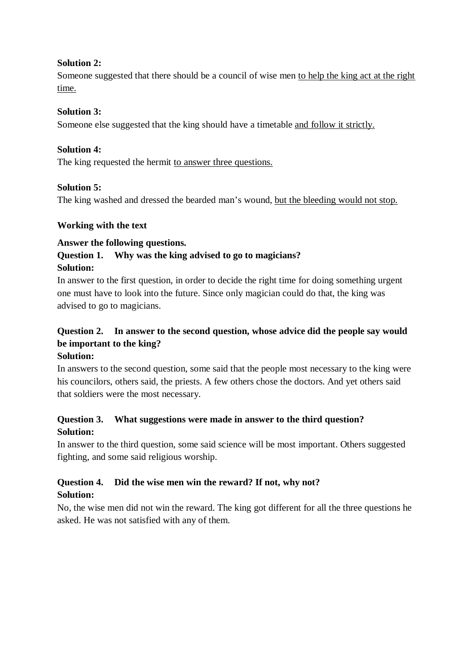### **Solution 2:**

Someone suggested that there should be a council of wise men to help the king act at the right time.

### **Solution 3:**

Someone else suggested that the king should have a timetable and follow it strictly.

### **Solution 4:**

The king requested the hermit to answer three questions.

### **Solution 5:**

The king washed and dressed the bearded man's wound, but the bleeding would not stop.

### **Working with the text**

### **Answer the following questions.**

## **Question 1. Why was the king advised to go to magicians? Solution:**

In answer to the first question, in order to decide the right time for doing something urgent one must have to look into the future. Since only magician could do that, the king was advised to go to magicians.

# **Question 2. In answer to the second question, whose advice did the people say would be important to the king?**

## **Solution:**

In answers to the second question, some said that the people most necessary to the king were his councilors, others said, the priests. A few others chose the doctors. And yet others said that soldiers were the most necessary.

# **Question 3. What suggestions were made in answer to the third question? Solution:**

In answer to the third question, some said science will be most important. Others suggested fighting, and some said religious worship.

## **Question 4. Did the wise men win the reward? If not, why not? Solution:**

No, the wise men did not win the reward. The king got different for all the three questions he asked. He was not satisfied with any of them.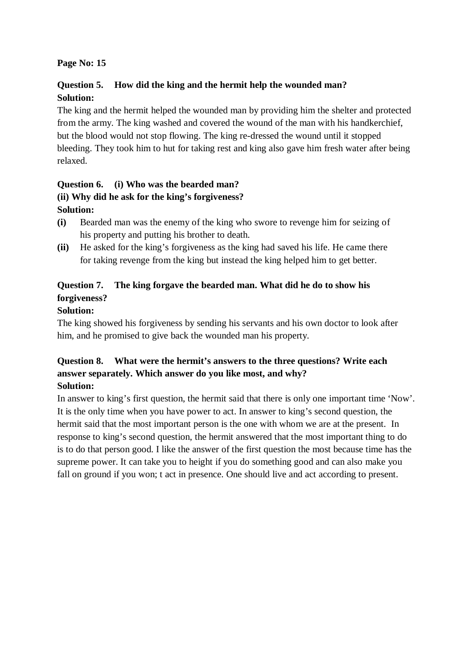## **Page No: 15**

## **Question 5. How did the king and the hermit help the wounded man? Solution:**

The king and the hermit helped the wounded man by providing him the shelter and protected from the army. The king washed and covered the wound of the man with his handkerchief, but the blood would not stop flowing. The king re-dressed the wound until it stopped bleeding. They took him to hut for taking rest and king also gave him fresh water after being relaxed.

# **Question 6. (i) Who was the bearded man? (ii) Why did he ask for the king's forgiveness? Solution:**

- **(i)** Bearded man was the enemy of the king who swore to revenge him for seizing of his property and putting his brother to death.
- **(ii)** He asked for the king's forgiveness as the king had saved his life. He came there for taking revenge from the king but instead the king helped him to get better.

# **Question 7. The king forgave the bearded man. What did he do to show his forgiveness?**

## **Solution:**

The king showed his forgiveness by sending his servants and his own doctor to look after him, and he promised to give back the wounded man his property.

### **Question 8. What were the hermit's answers to the three questions? Write each answer separately. Which answer do you like most, and why? Solution:**

In answer to king's first question, the hermit said that there is only one important time 'Now'. It is the only time when you have power to act. In answer to king's second question, the hermit said that the most important person is the one with whom we are at the present. In response to king's second question, the hermit answered that the most important thing to do is to do that person good. I like the answer of the first question the most because time has the supreme power. It can take you to height if you do something good and can also make you fall on ground if you won; t act in presence. One should live and act according to present.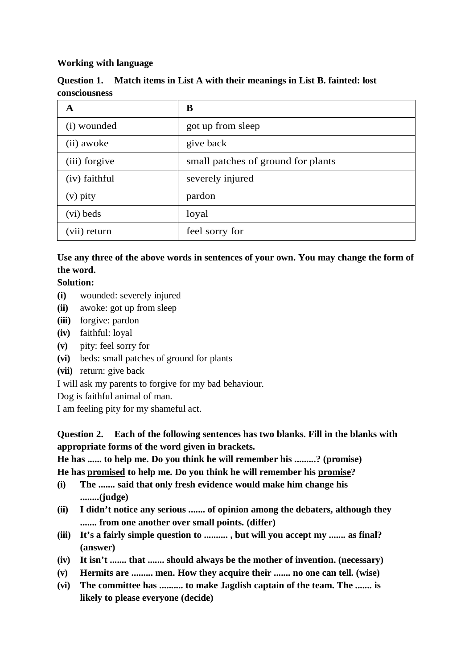### **Working with language**

|               | Question 1. Match items in List A with their meanings in List B. fainted: lost |  |
|---------------|--------------------------------------------------------------------------------|--|
| consciousness |                                                                                |  |

| A             | B                                  |
|---------------|------------------------------------|
| (i) wounded   | got up from sleep                  |
| (ii) awoke    | give back                          |
| (iii) forgive | small patches of ground for plants |
| (iv) faithful | severely injured                   |
| $(v)$ pity    | pardon                             |
| (vi) beds     | loyal                              |
| (vii) return  | feel sorry for                     |

# **Use any three of the above words in sentences of your own. You may change the form of the word.**

### **Solution:**

- **(i)** wounded: severely injured
- **(ii)** awoke: got up from sleep
- **(iii)** forgive: pardon
- **(iv)** faithful: loyal
- **(v)** pity: feel sorry for
- **(vi)** beds: small patches of ground for plants
- **(vii)** return: give back

I will ask my parents to forgive for my bad behaviour.

Dog is faithful animal of man.

I am feeling pity for my shameful act.

**Question 2. Each of the following sentences has two blanks. Fill in the blanks with appropriate forms of the word given in brackets.**

**He has ...... to help me. Do you think he will remember his .........? (promise)**

**He has promised to help me. Do you think he will remember his promise?** 

- **(i) The ....... said that only fresh evidence would make him change his ........(judge)**
- **(ii) I didn't notice any serious ....... of opinion among the debaters, although they ....... from one another over small points. (differ)**
- **(iii) It's a fairly simple question to .......... , but will you accept my ....... as final? (answer)**
- **(iv) It isn't ....... that ....... should always be the mother of invention. (necessary)**
- **(v) Hermits are ......... men. How they acquire their ....... no one can tell. (wise)**
- **(vi) The committee has .......... to make Jagdish captain of the team. The ....... is likely to please everyone (decide)**